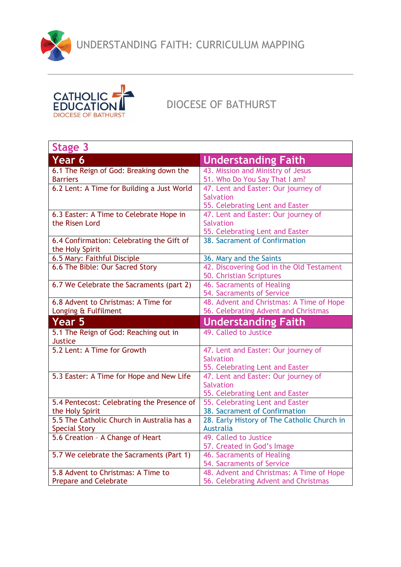UNDERSTANDING FAITH: CURRICULUM MAPPING



## DIOCESE OF BATHURST

| Stage 3                                                            |                                                                                  |
|--------------------------------------------------------------------|----------------------------------------------------------------------------------|
| Year 6                                                             | <b>Understanding Faith</b>                                                       |
| 6.1 The Reign of God: Breaking down the                            | 43. Mission and Ministry of Jesus                                                |
| <b>Barriers</b>                                                    | 51. Who Do You Say That I am?                                                    |
| 6.2 Lent: A Time for Building a Just World                         | 47. Lent and Easter: Our journey of                                              |
|                                                                    | <b>Salvation</b>                                                                 |
|                                                                    | 55. Celebrating Lent and Easter                                                  |
| 6.3 Easter: A Time to Celebrate Hope in                            | 47. Lent and Easter: Our journey of                                              |
| the Risen Lord                                                     | <b>Salvation</b>                                                                 |
|                                                                    | 55. Celebrating Lent and Easter                                                  |
| 6.4 Confirmation: Celebrating the Gift of                          | 38. Sacrament of Confirmation                                                    |
| the Holy Spirit                                                    |                                                                                  |
| 6.5 Mary: Faithful Disciple                                        | 36. Mary and the Saints                                                          |
| 6.6 The Bible: Our Sacred Story                                    | 42. Discovering God in the Old Testament                                         |
|                                                                    | 50. Christian Scriptures                                                         |
| 6.7 We Celebrate the Sacraments (part 2)                           | 46. Sacraments of Healing                                                        |
|                                                                    | 54. Sacraments of Service                                                        |
| 6.8 Advent to Christmas: A Time for                                | 48. Advent and Christmas: A Time of Hope                                         |
| Longing & Fulfilment                                               | 56. Celebrating Advent and Christmas                                             |
|                                                                    |                                                                                  |
| <b>Year 5</b>                                                      | <b>Understanding Faith</b>                                                       |
| 5.1 The Reign of God: Reaching out in                              | 49. Called to Justice                                                            |
| <b>Justice</b>                                                     |                                                                                  |
| 5.2 Lent: A Time for Growth                                        | 47. Lent and Easter: Our journey of                                              |
|                                                                    | <b>Salvation</b>                                                                 |
|                                                                    | 55. Celebrating Lent and Easter                                                  |
| 5.3 Easter: A Time for Hope and New Life                           | 47. Lent and Easter: Our journey of                                              |
|                                                                    | <b>Salvation</b>                                                                 |
|                                                                    | 55. Celebrating Lent and Easter                                                  |
| 5.4 Pentecost: Celebrating the Presence of                         | 55. Celebrating Lent and Easter                                                  |
| the Holy Spirit                                                    | 38. Sacrament of Confirmation                                                    |
| 5.5 The Catholic Church in Australia has a                         | 28. Early History of The Catholic Church in                                      |
| <b>Special Story</b>                                               | <b>Australia</b>                                                                 |
| 5.6 Creation - A Change of Heart                                   | 49. Called to Justice                                                            |
|                                                                    | 57. Created in God's Image                                                       |
| 5.7 We celebrate the Sacraments (Part 1)                           | 46. Sacraments of Healing                                                        |
|                                                                    | 54. Sacraments of Service                                                        |
| 5.8 Advent to Christmas: A Time to<br><b>Prepare and Celebrate</b> | 48. Advent and Christmas: A Time of Hope<br>56. Celebrating Advent and Christmas |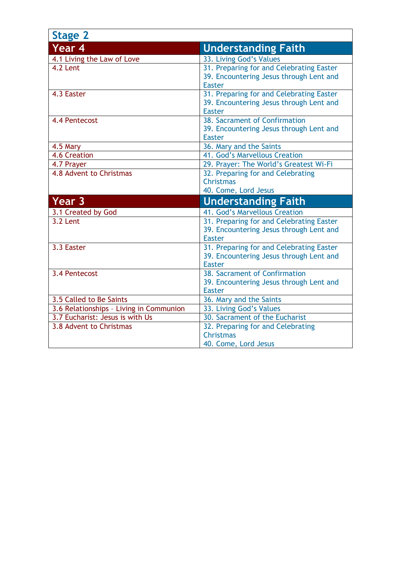| <b>Stage 2</b>                          |                                                                                                      |
|-----------------------------------------|------------------------------------------------------------------------------------------------------|
| Year 4                                  | <b>Understanding Faith</b>                                                                           |
| 4.1 Living the Law of Love              | 33. Living God's Values                                                                              |
| 4.2 Lent                                | 31. Preparing for and Celebrating Easter<br>39. Encountering Jesus through Lent and<br><b>Easter</b> |
| 4.3 Easter                              | 31. Preparing for and Celebrating Easter<br>39. Encountering Jesus through Lent and<br><b>Easter</b> |
| 4.4 Pentecost                           | 38. Sacrament of Confirmation<br>39. Encountering Jesus through Lent and<br><b>Easter</b>            |
| 4.5 Mary                                | 36. Mary and the Saints                                                                              |
| 4.6 Creation                            | 41. God's Marvellous Creation                                                                        |
| 4.7 Prayer                              | 29. Prayer: The World's Greatest Wi-Fi                                                               |
| 4.8 Advent to Christmas                 | 32. Preparing for and Celebrating<br><b>Christmas</b><br>40. Come, Lord Jesus                        |
| Year 3                                  | <b>Understanding Faith</b>                                                                           |
| 3.1 Created by God                      | 41. God's Marvellous Creation                                                                        |
| 3.2 Lent                                | 31. Preparing for and Celebrating Easter<br>39. Encountering Jesus through Lent and<br><b>Easter</b> |
| 3.3 Easter                              | 31. Preparing for and Celebrating Easter<br>39. Encountering Jesus through Lent and<br><b>Easter</b> |
| 3.4 Pentecost                           | 38. Sacrament of Confirmation<br>39. Encountering Jesus through Lent and<br><b>Easter</b>            |
| 3.5 Called to Be Saints                 | 36. Mary and the Saints                                                                              |
| 3.6 Relationships - Living in Communion | 33. Living God's Values                                                                              |
| 3.7 Eucharist: Jesus is with Us         | 30. Sacrament of the Eucharist                                                                       |
| 3.8 Advent to Christmas                 | 32. Preparing for and Celebrating<br><b>Christmas</b>                                                |